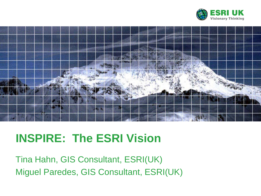



## **INSPIRE: The ESRI Vision**

Tina Hahn, GIS Consultant, ESRI(UK) Miguel Paredes, GIS Consultant, ESRI(UK)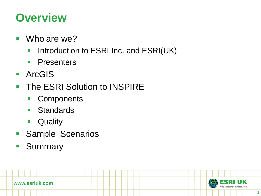### **Overview**

- Who are we?
	- **Introduction to ESRI Inc. and ESRI(UK)**
	- **Presenters**
- ArcGIS
- **The ESRI Solution to INSPIRE** 
	- **Components**
	- Standards
	- **Quality**
- **Sample Scenarios**
- **Summary**

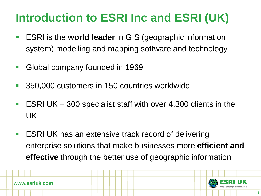## **Introduction to ESRI Inc and ESRI (UK)**

- ESRI is the **world leader** in GIS (geographic information system) modelling and mapping software and technology
- **Global company founded in 1969**
- 350,000 customers in 150 countries worldwide
- **ESRI UK** 300 specialist staff with over 4,300 clients in the UK
- ESRI UK has an extensive track record of delivering enterprise solutions that make businesses more **efficient and effective** through the better use of geographic information

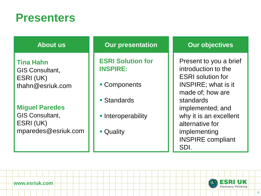### **Presenters**

|  |  | <b>About us</b> |
|--|--|-----------------|
|  |  |                 |

**Tina Hahn** GIS Consultant, ESRI (UK) thahn@esriuk.com

#### **Miguel Paredes**

GIS Consultant, ESRI (UK) mparedes@esriuk.com

#### **Our presentation**

**ESRI Solution for INSPIRE:**

- Components
- Standards
- **Interoperability**
- **C**uality

#### **Our objectives**

Present to you a brief introduction to the ESRI solution for INSPIRE; what is it made of; how are standards implemented; and why it is an excellent alternative for implementing INSPIRE compliant SDI.

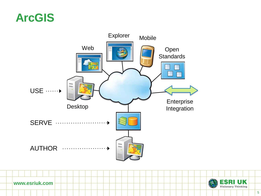### **ArcGIS**





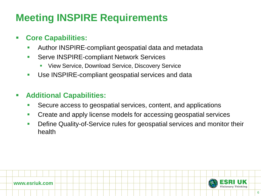### **Meeting INSPIRE Requirements**

#### **Core Capabilities:**

- Author INSPIRE-compliant geospatial data and metadata
- **Serve INSPIRE-compliant Network Services** 
	- View Service, Download Service, Discovery Service
- **Use INSPIRE-compliant geospatial services and data**

#### **Additional Capabilities:**

- Secure access to geospatial services, content, and applications
- **Create and apply license models for accessing geospatial services**
- **Define Quality-of-Service rules for geospatial services and monitor their** health

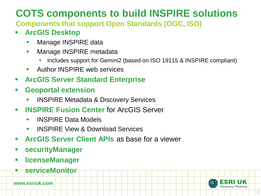### **COTS components to build INSPIRE solutions**

**Components that support Open Standards (OGC, ISO)**

### **ArcGIS Desktop**

- **Manage INSPIRE data**
- **Nanage INSPIRE metadata** 
	- Includes support for Gemini2 (based on ISO 19115 & INSPIRE compliant)
- **Author INSPIRF web services**
- **ArcGIS Server Standard Enterprise**
- **Geoportal extension**
	- **INSPIRE Metadata & Discovery Services**
- **INSPIRE Fusion Center** for ArcGIS Server
	- **INSPIRE Data Models**
	- INSPIRE View & Download Services
- **ArcGIS Server Client APIs** as base for a viewer
- **securityManager**
- **licenseManager**
	- **serviceMonitor**

**www.esriuk.com**

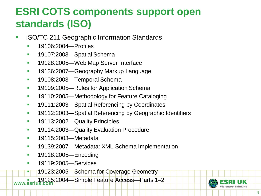### **ESRI COTS components support open standards (ISO)**

- **ISO/TC 211 Geographic Information Standards** 
	- **19106:2004—Profiles**
	- **19107:2003—Spatial Schema**
	- **19128:2005—Web Map Server Interface**
	- **19136:2007—Geography Markup Language**
	- **19108:2003—Temporal Schema**
	- **19109:2005—Rules for Application Schema**
	- **19110:2005—Methodology for Feature Cataloging**
	- **19111:2003—Spatial Referencing by Coordinates**
	- **19112:2003—Spatial Referencing by Geographic Identifiers**
	- **19113:2002—Quality Principles**
	- **19114:2003—Quality Evaluation Procedure**
	- **19115:2003—Metadata**
	- 19139:2007—Metadata: XML Schema Implementation
	- **19118:2005—Encoding**
	- **19119:2005—Services**
	- 19123:2005—Schema for Coverage Geometry

**www.esriuk.com** 19125:2004—Simple Feature Access—Parts 1–2

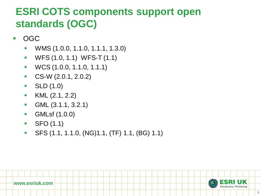### **ESRI COTS components support open standards (OGC)**

- OGC
	- WMS (1.0.0, 1.1.0, 1.1.1, 1.3.0)
	- **WES (1.0, 1.1) WES-T (1.1)**
	- WCS (1.0.0, 1.1.0, 1.1.1)
	- $\text{CS-W (2.0.1, 2.0.2)}$
	- $\bullet$  SLD  $(1.0)$
	- **KML**  $(2.1, 2.2)$
	- **GML** (3.1.1, 3.2.1)
	- **GMLsf** (1.0.0)
	- $SFO (1.1)$
	- SFS (1.1, 1.1.0, (NG)1.1, (TF) 1.1, (BG) 1.1)

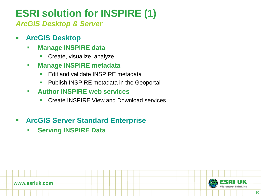### **ESRI solution for INSPIRE (1)**

*ArcGIS Desktop & Server*

- **ArcGIS Desktop**
	- **Manage INSPIRE data**
		- **Create, visualize, analyze**
	- **Manage INSPIRE metadata**
		- **Edit and validate INSPIRF metadata**
		- **Publish INSPIRE metadata in the Geoportal**
	- **Author INSPIRE web services**
		- **Create INSPIRE View and Download services**

### **ArcGIS Server Standard Enterprise**

**Serving INSPIRE Data** 

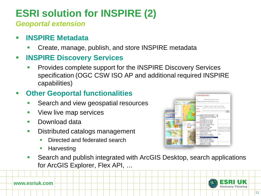### **ESRI solution for INSPIRE (2)**

*Geoportal extension*

- **INSPIRE Metadata**
	- Create, manage, publish, and store INSPIRE metadata
- **INSPIRE Discovery Services**
	- Provides complete support for the INSPIRE Discovery Services specification (OGC CSW ISO AP and additional required INSPIRE capabilities)

### **Other Geoportal functionalities**

- Search and view geospatial resources
- **View live map services**
- **Download data**
- **Distributed catalogs management** 
	- Directed and federated search
	- **Harvesting**



 Search and publish integrated with ArcGIS Desktop, search applications for ArcGIS Explorer, Flex API, …

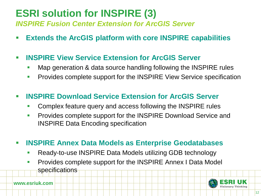## **ESRI solution for INSPIRE (3)**

*INSPIRE Fusion Center Extension for ArcGIS Server*

**Extends the ArcGIS platform with core INSPIRE capabilities**

#### **INSPIRE View Service Extension for ArcGIS Server**

- Map generation & data source handling following the INSPIRE rules
- **Provides complete support for the INSPIRE View Service specification**

#### **INSPIRE Download Service Extension for ArcGIS Server**

- **Complex feature query and access following the INSPIRE rules**
- **Provides complete support for the INSPIRE Download Service and** INSPIRE Data Encoding specification
- **INSPIRE Annex Data Models as Enterprise Geodatabases**
	- Ready-to-use INSPIRE Data Models utilizing GDB technology
	- **Provides complete support for the INSPIRE Annex I Data Model specifications**

**www.esriuk.com**

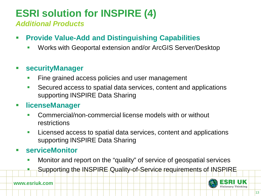### **ESRI solution for INSPIRE (4)**

*Additional Products*

- **Provide Value-Add and Distinguishing Capabilities**
	- Works with Geoportal extension and/or ArcGIS Server/Desktop

#### **securityManager**

- Fine grained access policies and user management
- Secured access to spatial data services, content and applications supporting INSPIRE Data Sharing

#### **licenseManager**

- Commercial/non-commercial license models with or without restrictions
- **Licensed access to spatial data services, content and applications** supporting INSPIRE Data Sharing

#### **serviceMonitor**

- **Monitor and report on the "quality" of service of geospatial services** 
	- Supporting the INSPIRE Quality-of-Service requirements of INSPIRE

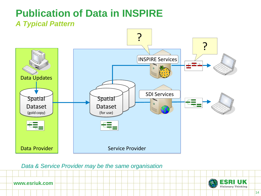# **Publication of Data in INSPIRE**



*Data & Service Provider may be the same organisation*



**www.esriuk.com**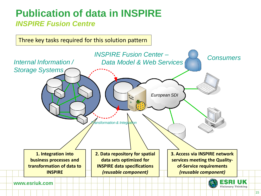### **Publication of data in INSPIRE** *INSPIRE Fusion Centre*

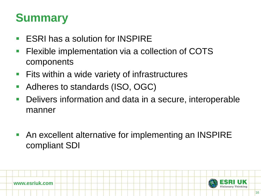## **Summary**

- ESRI has a solution for INSPIRE
- **Filexible implementation via a collection of COTS** components
- $\blacksquare$  Fits within a wide variety of infrastructures
- Adheres to standards (ISO, OGC)
- **Delivers information and data in a secure, interoperable** manner
- An excellent alternative for implementing an INSPIRE compliant SDI